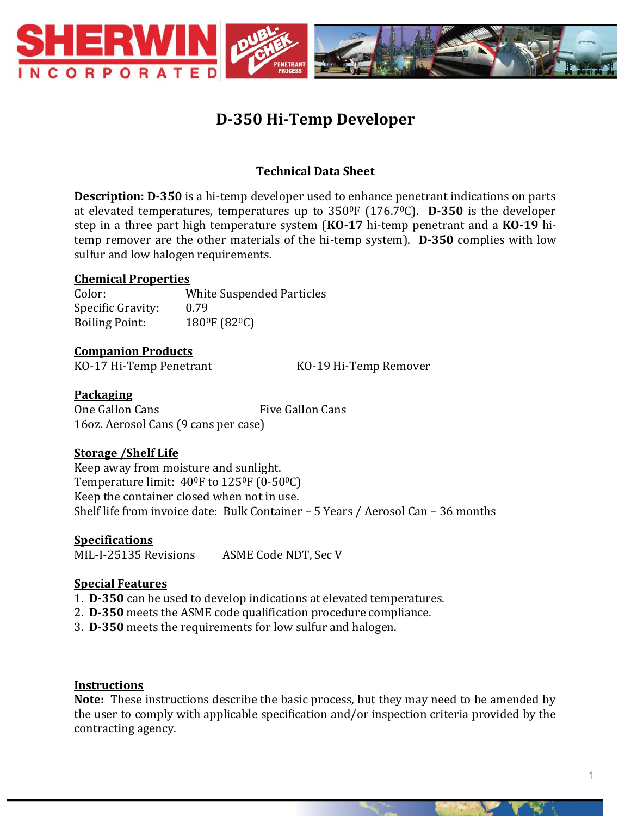

# **D-350 Hi-Temp Developer**

# **Technical Data Sheet**

**Description: D-350** is a hi-temp developer used to enhance penetrant indications on parts at elevated temperatures, temperatures up to 3500F (176.70C). **D-350** is the developer step in a three part high temperature system (**KO-17** hi-temp penetrant and a **KO-19** hitemp remover are the other materials of the hi-temp system). **D-350** complies with low sulfur and low halogen requirements.

#### **Chemical Properties**

Color: White Suspended Particles Specific Gravity: 0.79 Boiling Point: 180<sup>0</sup>F (82<sup>0</sup>C)

#### **Companion Products**

KO-17 Hi-Temp Penetrant KO-19 Hi-Temp Remover

#### **Packaging**

One Gallon Cans Five Gallon Cans 16oz. Aerosol Cans (9 cans per case)

# **Storage /Shelf Life**

Keep away from moisture and sunlight. Temperature limit:  $40^{\circ}$ F to  $125^{\circ}$ F (0-50 $^{\circ}$ C) Keep the container closed when not in use. Shelf life from invoice date: Bulk Container – 5 Years / Aerosol Can – 36 months

**Specifications** MIL-I-25135 Revisions ASME Code NDT, Sec V

# **Special Features**

- 1. **D-350** can be used to develop indications at elevated temperatures.
- 2. **D-350** meets the ASME code qualification procedure compliance.
- 3. **D-350** meets the requirements for low sulfur and halogen.

# **Instructions**

**Note:** These instructions describe the basic process, but they may need to be amended by the user to comply with applicable specification and/or inspection criteria provided by the contracting agency.